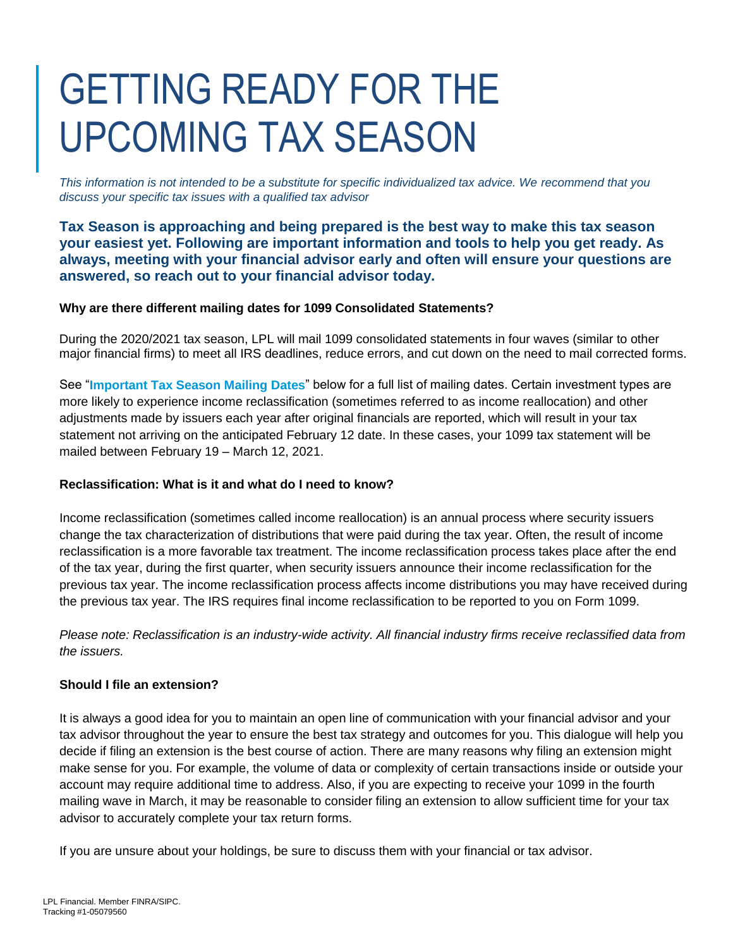# GETTING READY FOR THE UPCOMING TAX SEASON

*This information is not intended to be a substitute for specific individualized tax advice. We recommend that you discuss your specific tax issues with a qualified tax advisor*

**Tax Season is approaching and being prepared is the best way to make this tax season your easiest yet. Following are important information and tools to help you get ready. As always, meeting with your financial advisor early and often will ensure your questions are answered, so reach out to your financial advisor today.** 

#### **Why are there different mailing dates for 1099 Consolidated Statements?**

During the 2020/2021 tax season, LPL will mail 1099 consolidated statements in four waves (similar to other major financial firms) to meet all IRS deadlines, reduce errors, and cut down on the need to mail corrected forms.

See "**Important Tax Season Mailing Dates**" below for a full list of mailing dates. Certain investment types are more likely to experience income reclassification (sometimes referred to as income reallocation) and other adjustments made by issuers each year after original financials are reported, which will result in your tax statement not arriving on the anticipated February 12 date. In these cases, your 1099 tax statement will be mailed between February 19 – March 12, 2021.

### **Reclassification: What is it and what do I need to know?**

Income reclassification (sometimes called income reallocation) is an annual process where security issuers change the tax characterization of distributions that were paid during the tax year. Often, the result of income reclassification is a more favorable tax treatment. The income reclassification process takes place after the end of the tax year, during the first quarter, when security issuers announce their income reclassification for the previous tax year. The income reclassification process affects income distributions you may have received during the previous tax year. The IRS requires final income reclassification to be reported to you on Form 1099.

*Please note: Reclassification is an industry-wide activity. All financial industry firms receive reclassified data from the issuers.*

### **Should I file an extension?**

It is always a good idea for you to maintain an open line of communication with your financial advisor and your tax advisor throughout the year to ensure the best tax strategy and outcomes for you. This dialogue will help you decide if filing an extension is the best course of action. There are many reasons why filing an extension might make sense for you. For example, the volume of data or complexity of certain transactions inside or outside your account may require additional time to address. Also, if you are expecting to receive your 1099 in the fourth mailing wave in March, it may be reasonable to consider filing an extension to allow sufficient time for your tax advisor to accurately complete your tax return forms.

If you are unsure about your holdings, be sure to discuss them with your financial or tax advisor.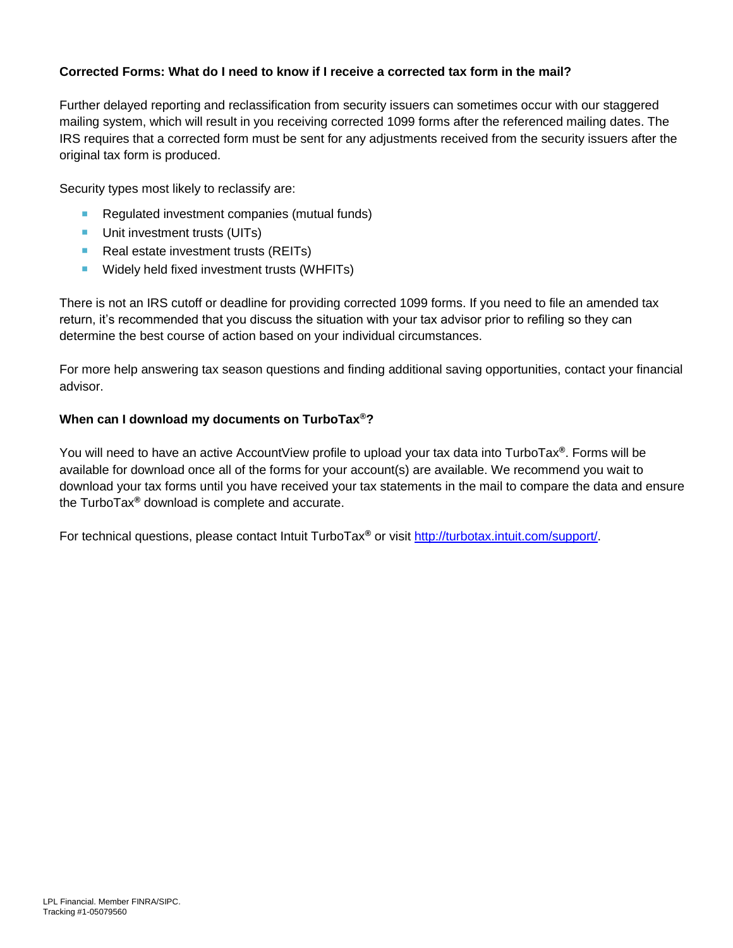## **Corrected Forms: What do I need to know if I receive a corrected tax form in the mail?**

Further delayed reporting and reclassification from security issuers can sometimes occur with our staggered mailing system, which will result in you receiving corrected 1099 forms after the referenced mailing dates. The IRS requires that a corrected form must be sent for any adjustments received from the security issuers after the original tax form is produced.

Security types most likely to reclassify are:

- Regulated investment companies (mutual funds)
- **Unit investment trusts (UITs)**
- Real estate investment trusts (REITs)
- **Widely held fixed investment trusts (WHFITs)**

There is not an IRS cutoff or deadline for providing corrected 1099 forms. If you need to file an amended tax return, it's recommended that you discuss the situation with your tax advisor prior to refiling so they can determine the best course of action based on your individual circumstances.

For more help answering tax season questions and finding additional saving opportunities, contact your financial advisor.

#### **When can I download my documents on TurboTax®?**

You will need to have an active AccountView profile to upload your tax data into TurboTax**®**. Forms will be available for download once all of the forms for your account(s) are available. We recommend you wait to download your tax forms until you have received your tax statements in the mail to compare the data and ensure the TurboTax**®** download is complete and accurate.

For technical questions, please contact Intuit TurboTax**®** or visit [http://turbotax.intuit.com/support/.](http://turbotax.intuit.com/support/)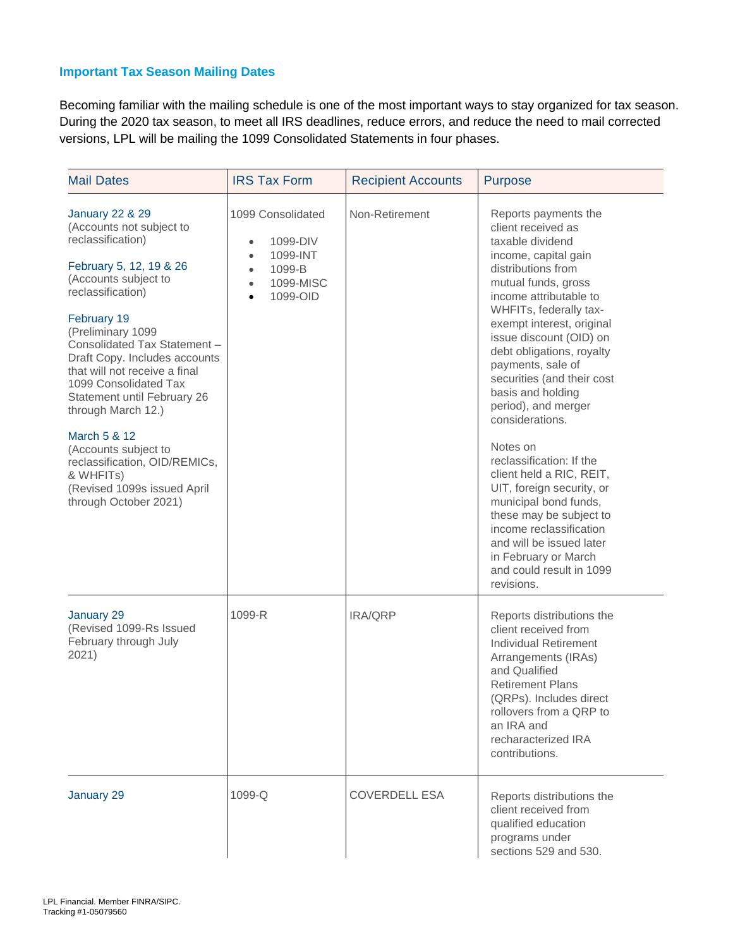### **Important Tax Season Mailing Dates**

Becoming familiar with the mailing schedule is one of the most important ways to stay organized for tax season. During the 2020 tax season, to meet all IRS deadlines, reduce errors, and reduce the need to mail corrected versions, LPL will be mailing the 1099 Consolidated Statements in four phases.

| <b>Mail Dates</b>                                                                                                                                                                                                                                                                                                                                                                                                                                                                                                     | <b>IRS Tax Form</b>                                                                                                                           | <b>Recipient Accounts</b> | <b>Purpose</b>                                                                                                                                                                                                                                                                                                                                                                                                                                                                                                                                                                                                                                                               |
|-----------------------------------------------------------------------------------------------------------------------------------------------------------------------------------------------------------------------------------------------------------------------------------------------------------------------------------------------------------------------------------------------------------------------------------------------------------------------------------------------------------------------|-----------------------------------------------------------------------------------------------------------------------------------------------|---------------------------|------------------------------------------------------------------------------------------------------------------------------------------------------------------------------------------------------------------------------------------------------------------------------------------------------------------------------------------------------------------------------------------------------------------------------------------------------------------------------------------------------------------------------------------------------------------------------------------------------------------------------------------------------------------------------|
| <b>January 22 &amp; 29</b><br>(Accounts not subject to<br>reclassification)<br>February 5, 12, 19 & 26<br>(Accounts subject to<br>reclassification)<br>February 19<br>(Preliminary 1099<br>Consolidated Tax Statement -<br>Draft Copy. Includes accounts<br>that will not receive a final<br>1099 Consolidated Tax<br>Statement until February 26<br>through March 12.)<br>March 5 & 12<br>(Accounts subject to<br>reclassification, OID/REMICs,<br>& WHFITs)<br>(Revised 1099s issued April<br>through October 2021) | 1099 Consolidated<br>1099-DIV<br>$\bullet$<br>1099-INT<br>$\bullet$<br>1099-B<br>$\bullet$<br>1099-MISC<br>$\bullet$<br>1099-OID<br>$\bullet$ | Non-Retirement            | Reports payments the<br>client received as<br>taxable dividend<br>income, capital gain<br>distributions from<br>mutual funds, gross<br>income attributable to<br>WHFITs, federally tax-<br>exempt interest, original<br>issue discount (OID) on<br>debt obligations, royalty<br>payments, sale of<br>securities (and their cost<br>basis and holding<br>period), and merger<br>considerations.<br>Notes on<br>reclassification: If the<br>client held a RIC, REIT,<br>UIT, foreign security, or<br>municipal bond funds,<br>these may be subject to<br>income reclassification<br>and will be issued later<br>in February or March<br>and could result in 1099<br>revisions. |
| January 29<br>(Revised 1099-Rs Issued<br>February through July<br>2021)                                                                                                                                                                                                                                                                                                                                                                                                                                               | 1099-R                                                                                                                                        | IRA/QRP                   | Reports distributions the<br>client received from<br><b>Individual Retirement</b><br>Arrangements (IRAs)<br>and Qualified<br><b>Retirement Plans</b><br>(QRPs). Includes direct<br>rollovers from a QRP to<br>an IRA and<br>recharacterized IRA<br>contributions.                                                                                                                                                                                                                                                                                                                                                                                                            |
| January 29                                                                                                                                                                                                                                                                                                                                                                                                                                                                                                            | $1099 - Q$                                                                                                                                    | <b>COVERDELL ESA</b>      | Reports distributions the<br>client received from<br>qualified education<br>programs under<br>sections 529 and 530.                                                                                                                                                                                                                                                                                                                                                                                                                                                                                                                                                          |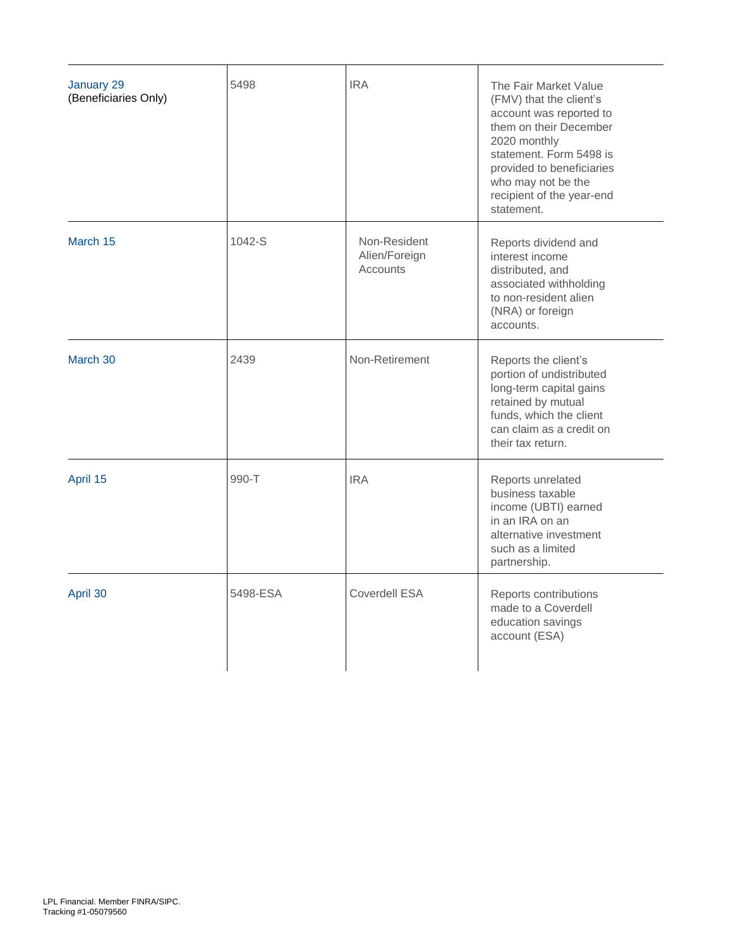| January 29<br>(Beneficiaries Only) | 5498     | <b>IRA</b>                                | The Fair Market Value<br>(FMV) that the client's<br>account was reported to<br>them on their December<br>2020 monthly<br>statement. Form 5498 is<br>provided to beneficiaries<br>who may not be the<br>recipient of the year-end<br>statement. |
|------------------------------------|----------|-------------------------------------------|------------------------------------------------------------------------------------------------------------------------------------------------------------------------------------------------------------------------------------------------|
| March 15                           | 1042-S   | Non-Resident<br>Alien/Foreign<br>Accounts | Reports dividend and<br>interest income<br>distributed, and<br>associated withholding<br>to non-resident alien<br>(NRA) or foreign<br>accounts.                                                                                                |
| March 30                           | 2439     | Non-Retirement                            | Reports the client's<br>portion of undistributed<br>long-term capital gains<br>retained by mutual<br>funds, which the client<br>can claim as a credit on<br>their tax return.                                                                  |
| April 15                           | 990-T    | <b>IRA</b>                                | Reports unrelated<br>business taxable<br>income (UBTI) earned<br>in an IRA on an<br>alternative investment<br>such as a limited<br>partnership.                                                                                                |
| April 30                           | 5498-ESA | Coverdell ESA                             | Reports contributions<br>made to a Coverdell<br>education savings<br>account (ESA)                                                                                                                                                             |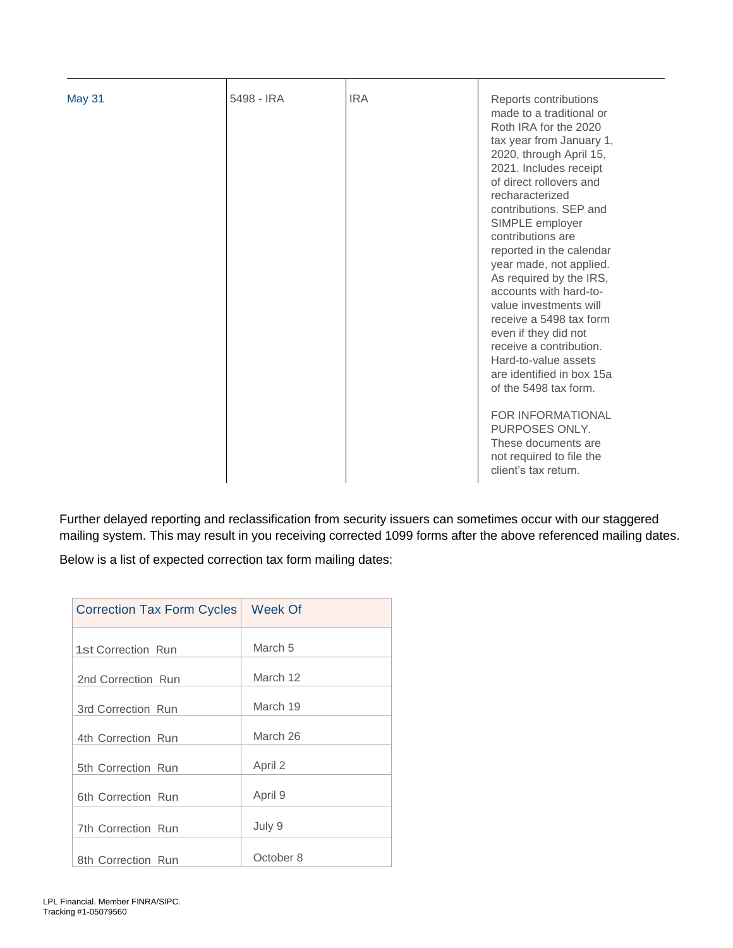|  | Roth IRA for the 2020<br>tax year from January 1,<br>2020, through April 15,<br>2021. Includes receipt<br>of direct rollovers and<br>recharacterized<br>contributions. SEP and<br>SIMPLE employer<br>contributions are<br>reported in the calendar<br>year made, not applied.<br>As required by the IRS,<br>accounts with hard-to-<br>value investments will<br>receive a 5498 tax form<br>even if they did not<br>receive a contribution.<br>Hard-to-value assets<br>are identified in box 15a<br>of the 5498 tax form.<br><b>FOR INFORMATIONAL</b><br>PURPOSES ONLY.<br>These documents are<br>not required to file the<br>client's tax return. |
|--|---------------------------------------------------------------------------------------------------------------------------------------------------------------------------------------------------------------------------------------------------------------------------------------------------------------------------------------------------------------------------------------------------------------------------------------------------------------------------------------------------------------------------------------------------------------------------------------------------------------------------------------------------|
|--|---------------------------------------------------------------------------------------------------------------------------------------------------------------------------------------------------------------------------------------------------------------------------------------------------------------------------------------------------------------------------------------------------------------------------------------------------------------------------------------------------------------------------------------------------------------------------------------------------------------------------------------------------|

Further delayed reporting and reclassification from security issuers can sometimes occur with our staggered mailing system. This may result in you receiving corrected 1099 forms after the above referenced mailing dates. Below is a list of expected correction tax form mailing dates:

| Correction Tax Form Cycles   Week Of |           |
|--------------------------------------|-----------|
| 1st Correction Run                   | March 5   |
| 2nd Correction Run                   | March 12  |
| 3rd Correction Run                   | March 19  |
| 4th Correction Run                   | March 26  |
| 5th Correction Run                   | April 2   |
| 6th Correction Run                   | April 9   |
| <b>7th Correction Run</b>            | July 9    |
| 8th Correction Run                   | October 8 |